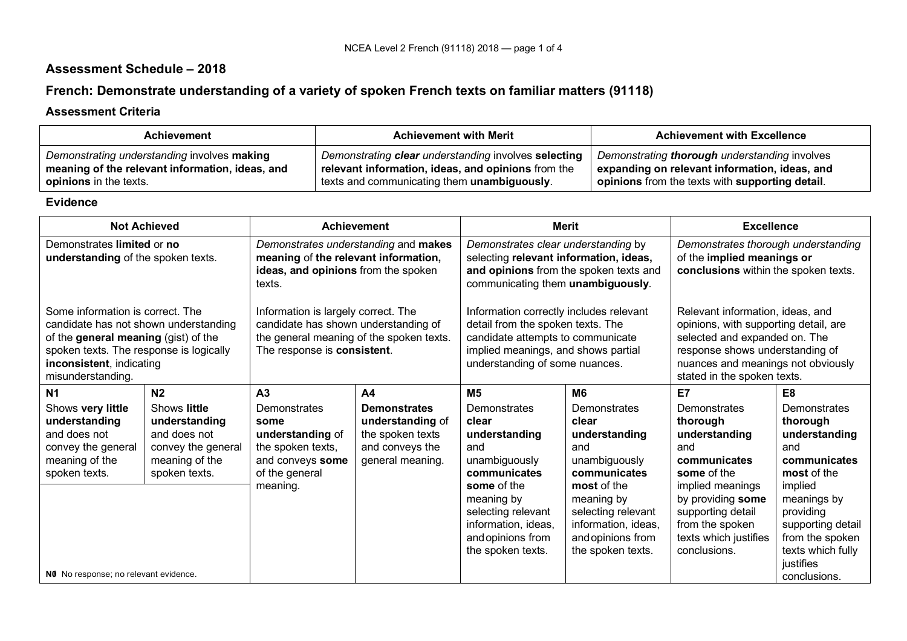## **Assessment Schedule – 2018**

# **French: Demonstrate understanding of a variety of spoken French texts on familiar matters (91118)**

#### **Assessment Criteria**

| <b>Achievement</b>                              | <b>Achievement with Merit</b>                        | <b>Achievement with Excellence</b>              |
|-------------------------------------------------|------------------------------------------------------|-------------------------------------------------|
| Demonstrating understanding involves making     | Demonstrating clear understanding involves selecting | Demonstrating thorough understanding involves   |
| meaning of the relevant information, ideas, and | relevant information, ideas, and opinions from the   | expanding on relevant information, ideas, and   |
| <b>opinions</b> in the texts.                   | texts and communicating them unambiguously.          | opinions from the texts with supporting detail. |

#### **Evidence**

| <b>Not Achieved</b><br><b>Achievement</b>                                                                   |                                                                                                                                                                                                                                                                                                                                                                                                                                                                                                                                                  | <b>Merit</b>                                                                                                                                                                                                                                                                                  |                                                                                                    | <b>Excellence</b>                                                                                                                                                                                                  |                                                                                                   |                                                                                                     |                                                                                                                    |
|-------------------------------------------------------------------------------------------------------------|--------------------------------------------------------------------------------------------------------------------------------------------------------------------------------------------------------------------------------------------------------------------------------------------------------------------------------------------------------------------------------------------------------------------------------------------------------------------------------------------------------------------------------------------------|-----------------------------------------------------------------------------------------------------------------------------------------------------------------------------------------------------------------------------------------------------------------------------------------------|----------------------------------------------------------------------------------------------------|--------------------------------------------------------------------------------------------------------------------------------------------------------------------------------------------------------------------|---------------------------------------------------------------------------------------------------|-----------------------------------------------------------------------------------------------------|--------------------------------------------------------------------------------------------------------------------|
| Demonstrates limited or no<br>understanding of the spoken texts.                                            |                                                                                                                                                                                                                                                                                                                                                                                                                                                                                                                                                  | Demonstrates understanding and makes<br>Demonstrates clear understanding by<br>meaning of the relevant information,<br>selecting relevant information, ideas,<br>ideas, and opinions from the spoken<br>and opinions from the spoken texts and<br>communicating them unambiguously.<br>texts. |                                                                                                    | Demonstrates thorough understanding<br>of the implied meanings or<br>conclusions within the spoken texts.                                                                                                          |                                                                                                   |                                                                                                     |                                                                                                                    |
| misunderstanding.                                                                                           | Some information is correct. The<br>Information is largely correct. The<br>Information correctly includes relevant<br>candidate has shown understanding of<br>detail from the spoken texts. The<br>candidate has not shown understanding<br>the general meaning of the spoken texts.<br>of the general meaning (gist) of the<br>candidate attempts to communicate<br>spoken texts. The response is logically<br>The response is consistent.<br>implied meanings, and shows partial<br>inconsistent, indicating<br>understanding of some nuances. |                                                                                                                                                                                                                                                                                               |                                                                                                    | Relevant information, ideas, and<br>opinions, with supporting detail, are<br>selected and expanded on. The<br>response shows understanding of<br>nuances and meanings not obviously<br>stated in the spoken texts. |                                                                                                   |                                                                                                     |                                                                                                                    |
| N <sub>1</sub>                                                                                              | N <sub>2</sub>                                                                                                                                                                                                                                                                                                                                                                                                                                                                                                                                   | A <sub>3</sub>                                                                                                                                                                                                                                                                                | A <sub>4</sub>                                                                                     | M <sub>5</sub>                                                                                                                                                                                                     | M <sub>6</sub>                                                                                    | E7                                                                                                  | E <sub>8</sub>                                                                                                     |
| Shows very little<br>understanding<br>and does not<br>convey the general<br>meaning of the<br>spoken texts. | Shows little<br>understanding<br>and does not<br>convey the general<br>meaning of the<br>spoken texts.                                                                                                                                                                                                                                                                                                                                                                                                                                           | Demonstrates<br>some<br>understanding of<br>the spoken texts,<br>and conveys some<br>of the general<br>meaning.                                                                                                                                                                               | <b>Demonstrates</b><br>understanding of<br>the spoken texts<br>and conveys the<br>general meaning. | Demonstrates<br>clear<br>understanding<br>and<br>unambiguously<br>communicates<br>some of the                                                                                                                      | Demonstrates<br>clear<br>understanding<br>and<br>unambiguously<br>communicates<br>most of the     | Demonstrates<br>thorough<br>understanding<br>and<br>communicates<br>some of the<br>implied meanings | Demonstrates<br>thorough<br>understanding<br>and<br>communicates<br>most of the<br>implied                         |
| NO No response; no relevant evidence.                                                                       |                                                                                                                                                                                                                                                                                                                                                                                                                                                                                                                                                  |                                                                                                                                                                                                                                                                                               |                                                                                                    | meaning by<br>selecting relevant<br>information, ideas,<br>and opinions from<br>the spoken texts.                                                                                                                  | meaning by<br>selecting relevant<br>information, ideas,<br>and opinions from<br>the spoken texts. | by providing some<br>supporting detail<br>from the spoken<br>texts which justifies<br>conclusions.  | meanings by<br>providing<br>supporting detail<br>from the spoken<br>texts which fully<br>justifies<br>conclusions. |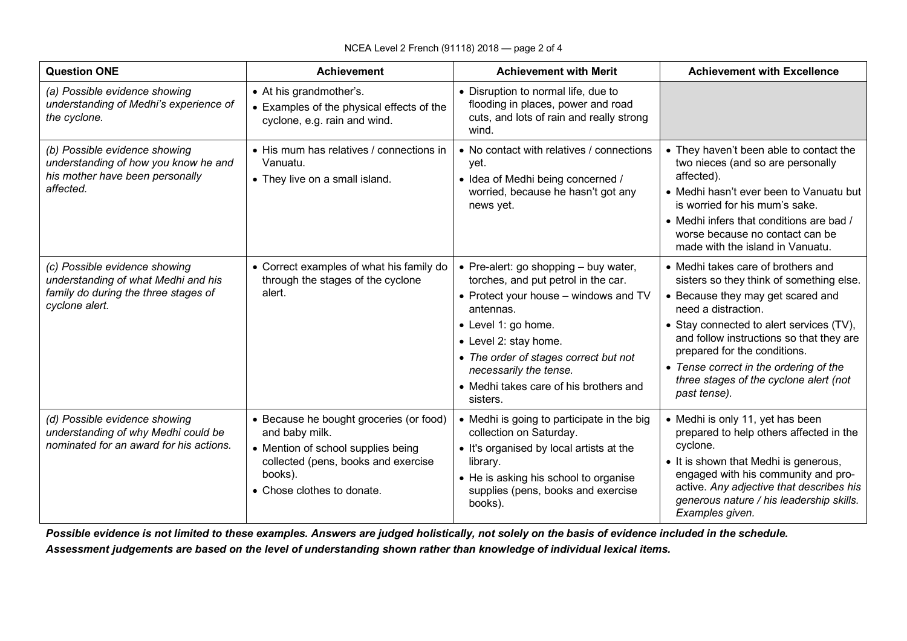| <b>Question ONE</b>                                                                                                            | <b>Achievement</b>                                                                                                                                                              | <b>Achievement with Merit</b>                                                                                                                                                                                                                                                                                 | <b>Achievement with Excellence</b>                                                                                                                                                                                                                                                                                                                                     |
|--------------------------------------------------------------------------------------------------------------------------------|---------------------------------------------------------------------------------------------------------------------------------------------------------------------------------|---------------------------------------------------------------------------------------------------------------------------------------------------------------------------------------------------------------------------------------------------------------------------------------------------------------|------------------------------------------------------------------------------------------------------------------------------------------------------------------------------------------------------------------------------------------------------------------------------------------------------------------------------------------------------------------------|
| (a) Possible evidence showing<br>understanding of Medhi's experience of<br>the cyclone.                                        | • At his grandmother's.<br>• Examples of the physical effects of the<br>cyclone, e.g. rain and wind.                                                                            | • Disruption to normal life, due to<br>flooding in places, power and road<br>cuts, and lots of rain and really strong<br>wind.                                                                                                                                                                                |                                                                                                                                                                                                                                                                                                                                                                        |
| (b) Possible evidence showing<br>understanding of how you know he and<br>his mother have been personally<br>affected.          | • His mum has relatives / connections in<br>Vanuatu.<br>• They live on a small island.                                                                                          | • No contact with relatives / connections<br>yet.<br>• Idea of Medhi being concerned /<br>worried, because he hasn't got any<br>news yet.                                                                                                                                                                     | • They haven't been able to contact the<br>two nieces (and so are personally<br>affected).<br>• Medhi hasn't ever been to Vanuatu but<br>is worried for his mum's sake.<br>• Medhi infers that conditions are bad /<br>worse because no contact can be<br>made with the island in Vanuatu.                                                                             |
| (c) Possible evidence showing<br>understanding of what Medhi and his<br>family do during the three stages of<br>cyclone alert. | • Correct examples of what his family do<br>through the stages of the cyclone<br>alert.                                                                                         | • Pre-alert: go shopping $-$ buy water,<br>torches, and put petrol in the car.<br>• Protect your house - windows and TV<br>antennas.<br>• Level 1: go home.<br>• Level 2: stay home.<br>• The order of stages correct but not<br>necessarily the tense.<br>• Medhi takes care of his brothers and<br>sisters. | • Medhi takes care of brothers and<br>sisters so they think of something else.<br>• Because they may get scared and<br>need a distraction.<br>• Stay connected to alert services (TV),<br>and follow instructions so that they are<br>prepared for the conditions.<br>• Tense correct in the ordering of the<br>three stages of the cyclone alert (not<br>past tense). |
| (d) Possible evidence showing<br>understanding of why Medhi could be<br>nominated for an award for his actions.                | • Because he bought groceries (or food)<br>and baby milk.<br>• Mention of school supplies being<br>collected (pens, books and exercise<br>books).<br>• Chose clothes to donate. | • Medhi is going to participate in the big<br>collection on Saturday.<br>• It's organised by local artists at the<br>library.<br>• He is asking his school to organise<br>supplies (pens, books and exercise<br>books).                                                                                       | • Medhi is only 11, yet has been<br>prepared to help others affected in the<br>cyclone.<br>• It is shown that Medhi is generous,<br>engaged with his community and pro-<br>active. Any adjective that describes his<br>generous nature / his leadership skills.<br>Examples given.                                                                                     |

*Possible evidence is not limited to these examples. Answers are judged holistically, not solely on the basis of evidence included in the schedule. Assessment judgements are based on the level of understanding shown rather than knowledge of individual lexical items.*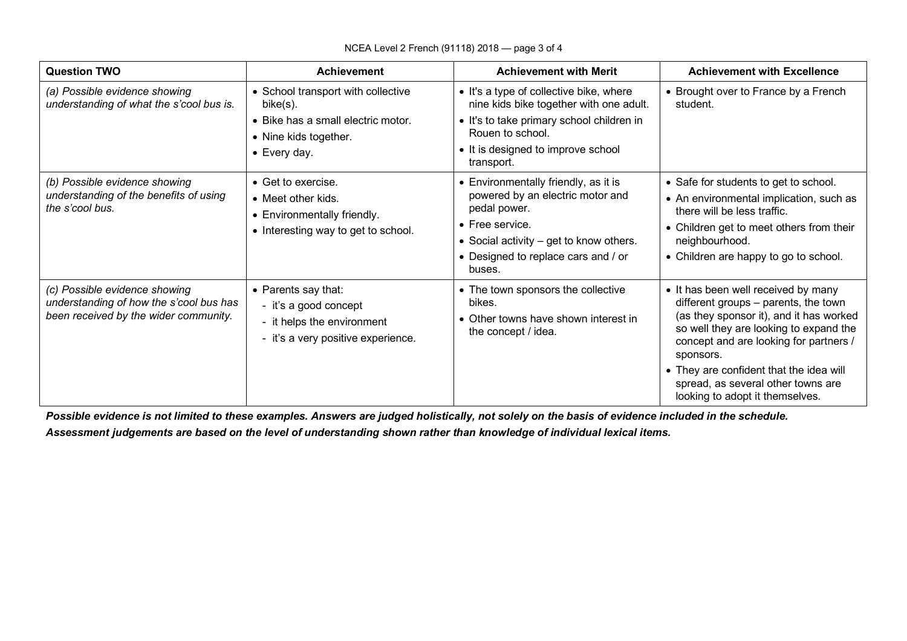| <b>Question TWO</b>                                                                                               | <b>Achievement</b>                                                                                                            | <b>Achievement with Merit</b>                                                                                                                                                                                   | <b>Achievement with Excellence</b>                                                                                                                                                                                                                                                                                                          |
|-------------------------------------------------------------------------------------------------------------------|-------------------------------------------------------------------------------------------------------------------------------|-----------------------------------------------------------------------------------------------------------------------------------------------------------------------------------------------------------------|---------------------------------------------------------------------------------------------------------------------------------------------------------------------------------------------------------------------------------------------------------------------------------------------------------------------------------------------|
| (a) Possible evidence showing<br>understanding of what the s'cool bus is.                                         | • School transport with collective<br>bike(s).<br>• Bike has a small electric motor.<br>• Nine kids together.<br>• Every day. | • It's a type of collective bike, where<br>nine kids bike together with one adult.<br>• It's to take primary school children in<br>Rouen to school.<br>• It is designed to improve school<br>transport.         | • Brought over to France by a French<br>student.                                                                                                                                                                                                                                                                                            |
| (b) Possible evidence showing<br>understanding of the benefits of using<br>the s'cool bus.                        | • Get to exercise.<br>• Meet other kids.<br>• Environmentally friendly.<br>• Interesting way to get to school.                | • Environmentally friendly, as it is<br>powered by an electric motor and<br>pedal power.<br>$\bullet$ Free service.<br>• Social activity - get to know others.<br>• Designed to replace cars and / or<br>buses. | • Safe for students to get to school.<br>• An environmental implication, such as<br>there will be less traffic.<br>• Children get to meet others from their<br>neighbourhood.<br>• Children are happy to go to school.                                                                                                                      |
| (c) Possible evidence showing<br>understanding of how the s'cool bus has<br>been received by the wider community. | • Parents say that:<br>- it's a good concept<br>- it helps the environment<br>- it's a very positive experience.              | • The town sponsors the collective<br>bikes.<br>• Other towns have shown interest in<br>the concept / idea.                                                                                                     | • It has been well received by many<br>different groups - parents, the town<br>(as they sponsor it), and it has worked<br>so well they are looking to expand the<br>concept and are looking for partners /<br>sponsors.<br>• They are confident that the idea will<br>spread, as several other towns are<br>looking to adopt it themselves. |

*Possible evidence is not limited to these examples. Answers are judged holistically, not solely on the basis of evidence included in the schedule. Assessment judgements are based on the level of understanding shown rather than knowledge of individual lexical items.*